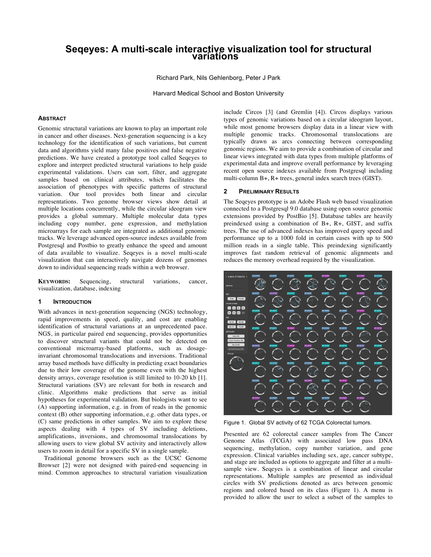# **Seqeyes: A multi-scale interactive visualization tool for structural variations**

Richard Park, Nils Gehlenborg, Peter J Park

Harvard Medical School and Boston University

#### **ABSTRACT**

Genomic structural variations are known to play an important role in cancer and other diseases. Next-generation sequencing is a key technology for the identification of such variations, but current data and algorithms yield many false positives and false negative predictions. We have created a prototype tool called Seqeyes to explore and interpret predicted structural variations to help guide experimental validations. Users can sort, filter, and aggregate samples based on clinical attributes, which facilitates the association of phenotypes with specific patterns of structural variation. Our tool provides both linear and circular representations. Two genome browser views show detail at multiple locations concurrently, while the circular ideogram view provides a global summary. Multiple molecular data types including copy number, gene expression, and methylation microarrays for each sample are integrated as additional genomic tracks. We leverage advanced open-source indexes available from Postgresql and Postbio to greatly enhance the speed and amount of data available to visualize. Seqeyes is a novel multi-scale visualization that can interactively navigate dozens of genomes down to individual sequencing reads within a web browser.

**KEYWORDS:** Sequencing, structural variations, cancer, visualization, database, indexing

# **1 INTRODUCTION**

With advances in next-generation sequencing (NGS) technology, rapid improvements in speed, quality, and cost are enabling identification of structural variations at an unprecedented pace. NGS, in particular paired end sequencing, provides opportunities to discover structural variants that could not be detected on conventional microarray-based platforms, such as dosageinvariant chromosomal translocations and inversions. Traditional array based methods have difficulty in predicting exact boundaries due to their low coverage of the genome even with the highest density arrays, coverage resolution is still limited to 10-20 kb [1]. Structural variations (SV) are relevant for both in research and clinic. Algorithms make predictions that serve as initial hypotheses for experimental validation. But biologists want to see (A) supporting information, e.g. in from of reads in the genomic context (B) other supporting information, e.g. other data types, or (C) same predictions in other samples. We aim to explore these aspects dealing with 4 types of SV including deletions, amplifications, inversions, and chromosomal translocations by allowing users to view global SV activity and interactively allow users to zoom in detail for a specific SV in a single sample.

Traditional genome browsers such as the UCSC Genome Browser [2] were not designed with paired-end sequencing in mind. Common approaches to structural variation visualization include Circos [3] (and Gremlin [4]). Circos displays various types of genomic variations based on a circular ideogram layout, while most genome browsers display data in a linear view with multiple genomic tracks. Chromosomal translocations are typically drawn as arcs connecting between corresponding genomic regions. We aim to provide a combination of circular and linear views integrated with data types from multiple platforms of experimental data and improve overall performance by leveraging recent open source indexes available from Postgresql including multi-column B+, R+ trees, general index search trees (GIST).

# **2 PRELIMINARY RESULTS**

The Seqeyes prototype is an Adobe Flash web based visualization connected to a Postgresql 9.0 database using open source genomic extensions provided by PostBio [5]. Database tables are heavily preindexed using a combination of B+, R+, GIST, and suffix trees. The use of advanced indexes has improved query speed and performance up to a 1000 fold in certain cases with up to 500 million reads in a single table. This preindexing significantly improves fast random retrieval of genomic alignments and reduces the memory overhead required by the visualization.



Figure 1. Global SV activity of 62 TCGA Colorectal tumors.

Presented are 62 colorectal cancer samples from The Cancer Genome Atlas (TCGA) with associated low pass DNA sequencing, methylation, copy number variation, and gene expression. Clinical variables including sex, age, cancer subtype, and stage are included as options to aggregate and filter at a multisample view. Seqeyes is a combination of linear and circular representations. Multiple samples are presented as individual circles with SV predictions denoted as arcs between genomic regions and colored based on its class (Figure 1). A menu is provided to allow the user to select a subset of the samples to